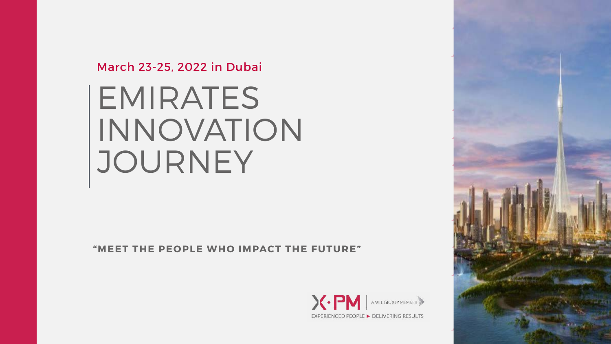

# March 23-25, 2022 in Dubai EMIRATES INNOVATION JOURNEY

**"MEET THE PEOPLE WHO IMPACT THE FUTURE"**

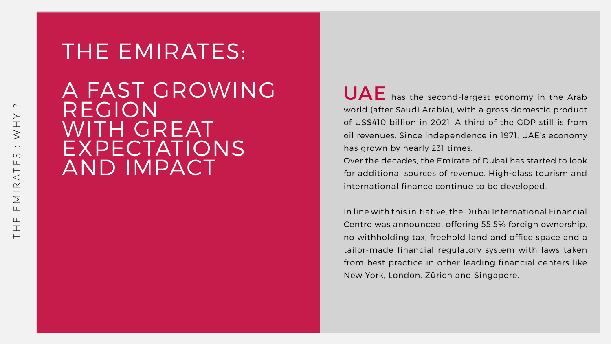UAE has the second-largest economy in the Arab world (after Saudi Arabia), with a gross domestic product of US\$410 billion in 2021. A third of the GDP still is from oil revenues. Since independence in 1971, UAE's economy has grown by nearly 231 times.

Over the decades, the Emirate of Dubai has started to look for additional sources of revenue. High-class tourism and international finance continue to be developed.

In line with this initiative, the Dubai International Financial Centre was announced, offering 55.5% foreign ownership, no withholding tax, freehold land and office space and a tailor-made financial regulatory system with laws taken from best practice in other leading financial centers like New York, London, Zürich and Singapore.



# THE EMIRATES: A FAST GROWING REGION WITH GREAT EXPECTATIONS AND IMPACT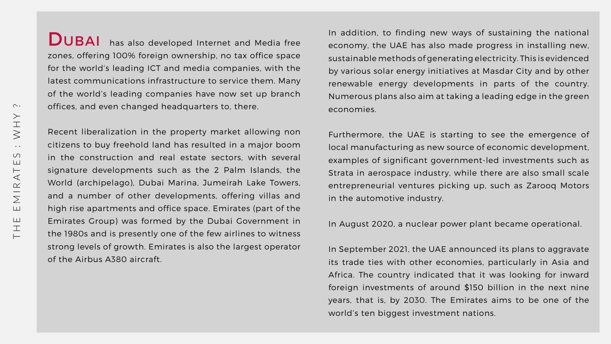DUBAI has also developed Internet and Media free zones, offering 100% foreign ownership, no tax office space for the world's leading ICT and media companies, with the latest communications infrastructure to service them. Many of the world's leading companies have now set up branch offices, and even changed headquarters to, there. In addition, to finding new ways of sustaining the national economy, the UAE has also made progress in installing new, sustainable methods of generating electricity. This is evidenced by various solar energy initiatives at Masdar City and by other renewable energy developments in parts of the country. Numerous plans also aim at taking a leading edge in the green economies.

Recent liberalization in the property market allowing non citizens to buy freehold land has resulted in a major boom in the construction and real estate sectors, with several signature developments such as the 2 Palm Islands, the World (archipelago), Dubai Marina, Jumeirah Lake Towers, and a number of other developments, offering villas and high rise apartments and office space. Emirates (part of the Emirates Group) was formed by the Dubai Government in the 1980s and is presently one of the few airlines to witness strong levels of growth. Emirates is also the largest operator of the Airbus A380 aircraft. Furthermore, the UAE is starting to see the emergence of local manufacturing as new source of economic development, examples of significant government-led investments such as Strata in aerospace industry, while there are also small scale entrepreneurial ventures picking up, such as Zarooq Motors in the automotive industry. In August 2020, a nuclear power plant became operational.

In September 2021, the UAE announced its plans to aggravate its trade ties with other economies, particularly in Asia and Africa. The country indicated that it was looking for inward foreign investments of around \$150 billion in the next nine years, that is, by 2030. The Emirates aims to be one of the world's ten biggest investment nations.



![](_page_2_Figure_5.jpeg)

![](_page_2_Figure_6.jpeg)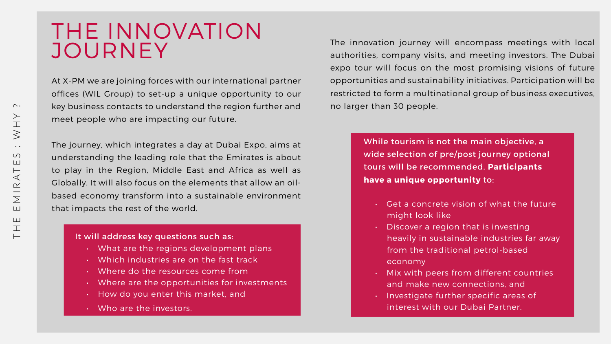## THE INNOVATION JOURNEY

The journey, which integrates a day at Dubai Expo, aims at understanding the leading role that the Emirates is about to play in the Region, Middle East and Africa as well as Globally. It will also focus on the elements that allow an oilbased economy transform into a sustainable environment that impacts the rest of the world.

At X-PM we are joining forces with our international partner offices (WIL Group) to set-up a unique opportunity to our key business contacts to understand the region further and meet people who are impacting our future. The innovation journey will encompass meetings with local authorities, company visits, and meeting investors. The Dubai expo tour will focus on the most promising visions of future opportunities and sustainability initiatives. Participation will be restricted to form a multinational group of business executives, no larger than 30 people.

- Get a concrete vision of what the future might look like
- Discover a region that is investing heavily in sustainable industries far away from the traditional petrol-based economy
- Mix with peers from different countries and make new connections, and
- Investigate further specific areas of interest with our Dubai Partner.

![](_page_3_Figure_17.jpeg)

![](_page_3_Picture_11.jpeg)

#### It will address key questions such as:

- What are the regions development plans
- Which industries are on the fast track
- Where do the resources come from
- Where are the opportunities for investments
- How do you enter this market, and
- Who are the investors.

While tourism is not the main objective, a wide selection of pre/post journey optional tours will be recommended. **Participants have a unique opportunity** to: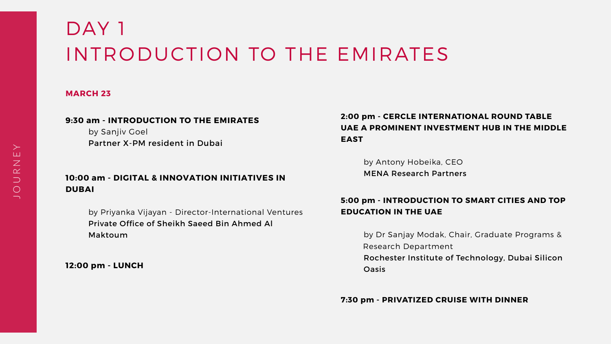#### **MARCH 23**

#### **9:30 am - INTRODUCTION TO THE EMIRATES**

by Sanjiv Goel Partner X-PM resident in Dubai

#### **10:00 am - DIGITAL & INNOVATION INITIATIVES IN DUBAI**

# DAY 1 INTRODUCTION TO THE EMIRATES

by Priyanka Vijayan - Director-International Ventures Private Office of Sheikh Saeed Bin Ahmed Al Maktoum

**12:00 pm - LUNCH**

## **2:00 pm - CERCLE INTERNATIONAL ROUND TABLE UAE A PROMINENT INVESTMENT HUB IN THE MIDDLE EAST**

 by Antony Hobeika, CEO MENA Research Partners

#### **5:00 pm - INTRODUCTION TO SMART CITIES AND TOP EDUCATION IN THE UAE**

 by Dr Sanjay Modak, Chair, Graduate Programs & Research Department Rochester Institute of Technology, Dubai Silicon Oasis

#### **7:30 pm - PRIVATIZED CRUISE WITH DINNER**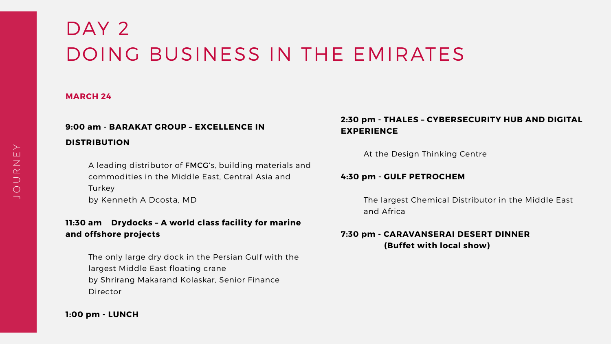#### **MARCH 24**

## **9:00 am - BARAKAT GROUP – EXCELLENCE IN DISTRIBUTION**

 A leading distributor of FMCG's, building materials and commodities in the Middle East, Central Asia and **Turkey** by Kenneth A Dcosta, MD

# DAY 2 DOING BUSINESS IN THE EMIRATES

#### **11:30 am Drydocks – A world class facility for marine and offshore projects**

 The only large dry dock in the Persian Gulf with the largest Middle East floating crane by Shrirang Makarand Kolaskar, Senior Finance Director

#### **1:00 pm - LUNCH**

#### **2:30 pm - THALES – CYBERSECURITY HUB AND DIGITAL EXPERIENCE**

At the Design Thinking Centre

#### **4:30 pm - GULF PETROCHEM**

 The largest Chemical Distributor in the Middle East and Africa

## **7:30 pm - CARAVANSERAI DESERT DINNER (Buffet with local show)**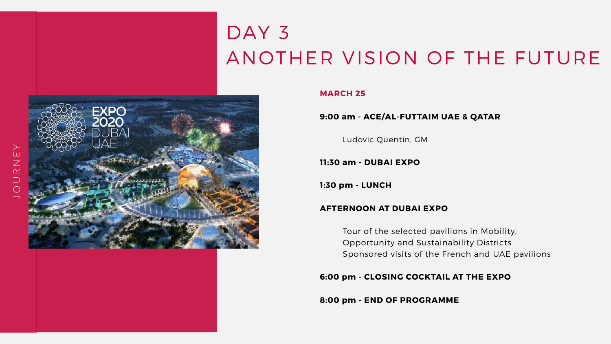# DAY 3

![](_page_6_Picture_1.jpeg)

#### **MARCH 25**

#### **9:00 am - ACE/AL-FUTTAIM UAE & QATAR**

Ludovic Quentin, GM

**11:30 am - DUBAI EXPO**

**1:30 pm - LUNCH** 

#### **AFTERNOON AT DUBAI EXPO**

 Tour of the selected pavilions in Mobility, Opportunity and Sustainability Districts Sponsored visits of the French and UAE pavilions

#### **6:00 pm - CLOSING COCKTAIL AT THE EXPO**

**8:00 pm - END OF PROGRAMME**

![](_page_6_Picture_14.jpeg)

![](_page_6_Picture_15.jpeg)

## ANOTHER VISION OF THE FUTURE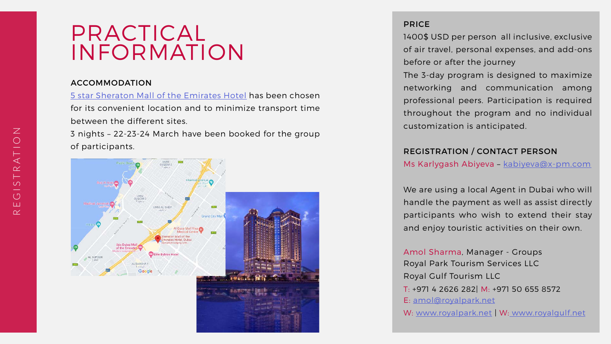## PRACTICAL INFORMATION

#### ACCOMMODATION

[5 star Sheraton Mall of the Emirates Hotel](https://www.marriott.com/en-us/hotels/dxbml-sheraton-mall-of-the-emirates-hotel-dubai/photos/) has been chosen for its convenient location and to minimize transport time between the different sites.

3 nights – 22-23-24 March have been booked for the group of participants.

![](_page_7_Figure_4.jpeg)

#### PRICE

1400\$ USD per person all inclusive, exclusive of air travel, personal expenses, and add-ons before or after the journey

Amol Sharma, Manager - Groups Royal Park Tourism Services LLC Royal Gulf Tourism LLC T: +971 4 2626 282| M: +971 50 655 8572 E: [amol@royalpark.net](mailto:amol%40royalpark.net?subject=) W: [www.royalpark.net](http://www.royalpark.net) | W: [www.royalgulf.net](http:// www.royalgulf.net)

![](_page_7_Figure_13.jpeg)

![](_page_7_Figure_14.jpeg)

The 3-day program is designed to maximize networking and communication among professional peers. Participation is required throughout the program and no individual customization is anticipated.

#### REGISTRATION / CONTACT PERSON

Ms Karlygash Abiyeva - kabiyeva@x-pm.com

We are using a local Agent in Dubai who will handle the payment as well as assist directly participants who wish to extend their stay and enjoy touristic activities on their own.